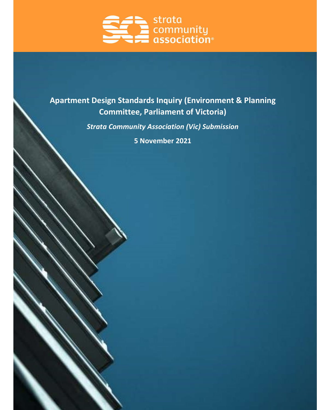

# Apartment Design Standards Inquiry (Environment & Planning Committee, Parliament of Victoria)

Strata Community Association (Vic) Submission

5 November 2021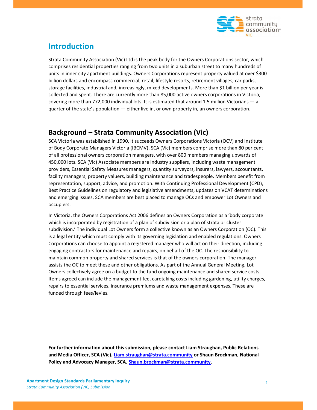

# Introduction

Strata Community Association (Vic) Ltd is the peak body for the Owners Corporations sector, which comprises residential properties ranging from two units in a suburban street to many hundreds of units in inner city apartment buildings. Owners Corporations represent property valued at over \$300 billion dollars and encompass commercial, retail, lifestyle resorts, retirement villages, car parks, storage facilities, industrial and, increasingly, mixed developments. More than \$1 billion per year is collected and spent. There are currently more than 85,000 active owners corporations in Victoria, covering more than 772,000 individual lots. It is estimated that around 1.5 million Victorians — a quarter of the state's population — either live in, or own property in, an owners corporation.

### Background – Strata Community Association (Vic)

SCA Victoria was established in 1990, it succeeds Owners Corporations Victoria (OCV) and Institute of Body Corporate Managers Victoria (IBCMV). SCA (Vic) members comprise more than 80 per cent of all professional owners corporation managers, with over 800 members managing upwards of 450,000 lots. SCA (Vic) Associate members are industry suppliers, including waste management providers, Essential Safety Measures managers, quantity surveyors, insurers, lawyers, accountants, facility managers, property valuers, building maintenance and tradespeople. Members benefit from representation, support, advice, and promotion. With Continuing Professional Development (CPD), Best Practice Guidelines on regulatory and legislative amendments, updates on VCAT determinations and emerging issues, SCA members are best placed to manage OCs and empower Lot Owners and occupiers.

In Victoria, the Owners Corporations Act 2006 defines an Owners Corporation as a 'body corporate which is incorporated by registration of a plan of subdivision or a plan of strata or cluster subdivision.' The individual Lot Owners form a collective known as an Owners Corporation (OC). This is a legal entity which must comply with its governing legislation and enabled regulations. Owners Corporations can choose to appoint a registered manager who will act on their direction, including engaging contractors for maintenance and repairs, on behalf of the OC. The responsibility to maintain common property and shared services is that of the owners corporation. The manager assists the OC to meet these and other obligations. As part of the Annual General Meeting, Lot Owners collectively agree on a budget to the fund ongoing maintenance and shared service costs. Items agreed can include the management fee, caretaking costs including gardening, utility charges, repairs to essential services, insurance premiums and waste management expenses. These are funded through fees/levies.

For further information about this submission, please contact Liam Straughan, Public Relations and Media Officer, SCA (Vic). Liam.straughan@strata.community or Shaun Brockman, National Policy and Advocacy Manager, SCA. Shaun.brockman@strata.community.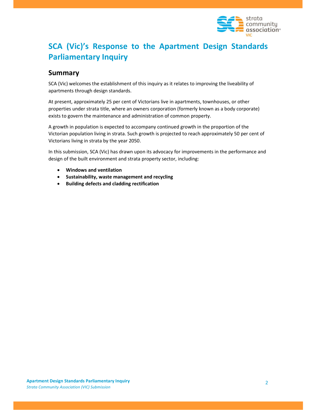

# SCA (Vic)'s Response to the Apartment Design Standards Parliamentary Inquiry

#### **Summary**

SCA (Vic) welcomes the establishment of this inquiry as it relates to improving the liveability of apartments through design standards.

At present, approximately 25 per cent of Victorians live in apartments, townhouses, or other properties under strata title, where an owners corporation (formerly known as a body corporate) exists to govern the maintenance and administration of common property.

A growth in population is expected to accompany continued growth in the proportion of the Victorian population living in strata. Such growth is projected to reach approximately 50 per cent of Victorians living in strata by the year 2050.

In this submission, SCA (Vic) has drawn upon its advocacy for improvements in the performance and design of the built environment and strata property sector, including:

- Windows and ventilation
- Sustainability, waste management and recycling
- Building defects and cladding rectification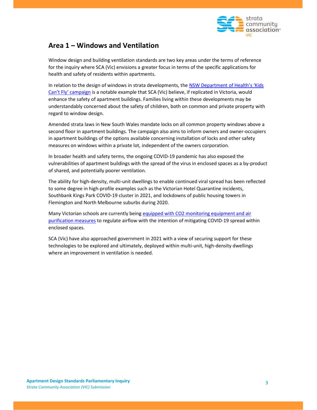

#### Area 1 – Windows and Ventilation

Window design and building ventilation standards are two key areas under the terms of reference for the inquiry where SCA (Vic) envisions a greater focus in terms of the specific applications for health and safety of residents within apartments.

In relation to the design of windows in strata developments, the NSW Department of Health's 'Kids Can't Fly' campaign is a notable example that SCA (Vic) believe, if replicated in Victoria, would enhance the safety of apartment buildings. Families living within these developments may be understandably concerned about the safety of children, both on common and private property with regard to window design.

Amended strata laws in New South Wales mandate locks on all common property windows above a second floor in apartment buildings. The campaign also aims to inform owners and owner-occupiers in apartment buildings of the options available concerning installation of locks and other safety measures on windows within a private lot, independent of the owners corporation.

In broader health and safety terms, the ongoing COVID-19 pandemic has also exposed the vulnerabilities of apartment buildings with the spread of the virus in enclosed spaces as a by-product of shared, and potentially poorer ventilation.

The ability for high-density, multi-unit dwellings to enable continued viral spread has been reflected to some degree in high-profile examples such as the Victorian Hotel Quarantine incidents, Southbank Kings Park COVID-19 cluster in 2021, and lockdowns of public housing towers in Flemington and North Melbourne suburbs during 2020.

Many Victorian schools are currently being equipped with CO2 monitoring equipment and air purification measures to regulate airflow with the intention of mitigating COVID-19 spread within enclosed spaces.

SCA (Vic) have also approached government in 2021 with a view of securing support for these technologies to be explored and ultimately, deployed within multi-unit, high-density dwellings where an improvement in ventilation is needed.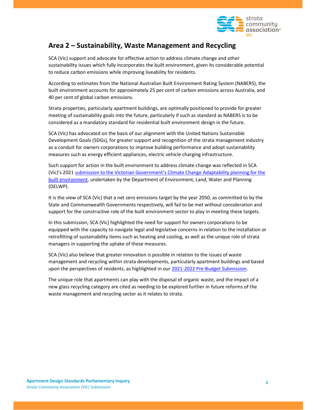

### Area 2 – Sustainability, Waste Management and Recycling

SCA (Vic) support and advocate for effective action to address climate change and other sustainability issues which fully incorporates the built environment, given its considerable potential to reduce carbon emissions while improving liveability for residents.

According to estimates from the National Australian Built Environment Rating System (NABERS), the built environment accounts for approximately 25 per cent of carbon emissions across Australia, and 40 per cent of global carbon emissions.

Strata properties, particularly apartment buildings, are optimally positioned to provide for greater meeting of sustainability goals into the future, particularly if such as standard as NABERS is to be considered as a mandatory standard for residential built environment design in the future.

SCA (Vic) has advocated on the basis of our alignment with the United Nations Sustainable Development Goals (SDGs), for greater support and recognition of the strata management industry as a conduit for owners corporations to improve building performance and adopt sustainability measures such as energy efficient appliances, electric vehicle charging infrastructure.

Such support for action in the built environment to address climate change was reflected in SCA (Vic)'s 2021 submission to the Victorian Government's Climate Change Adaptability planning for the built environment, undertaken by the Department of Environment, Land, Water and Planning (DELWP).

It is the view of SCA (Vic) that a net zero emissions target by the year 2050, as committed to by the State and Commonwealth Governments respectively, will fail to be met without consideration and support for the constructive role of the built environment sector to play in meeting these targets.

In this submission, SCA (Vic) highlighted the need for support for owners corporations to be equipped with the capacity to navigate legal and legislative concerns in relation to the installation or retrofitting of sustainability items such as heating and cooling, as well as the unique role of strata managers in supporting the uptake of these measures.

SCA (Vic) also believe that greater innovation is possible in relation to the issues of waste management and recycling within strata developments, particularly apartment buildings and based upon the perspectives of residents, as highlighted in our 2021-2022 Pre-Budget Submission.

The unique role that apartments can play with the disposal of organic waste, and the impact of a new glass recycling category are cited as needing to be explored further in future reforms of the waste management and recycling sector as it relates to strata.